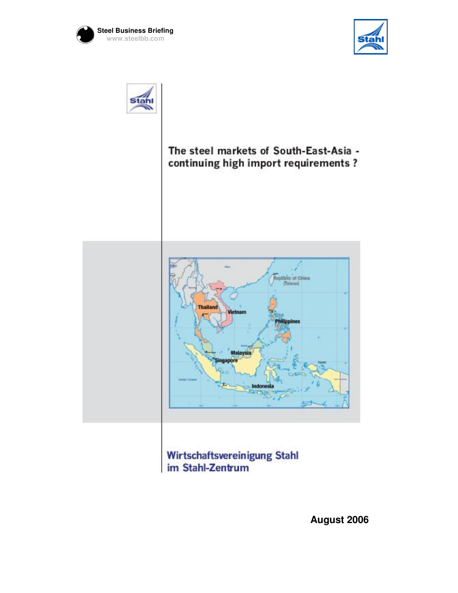





The steel markets of South-East-Asia continuing high import requirements?



Wirtschaftsvereinigung Stahl im Stahl-Zentrum

**August 2006**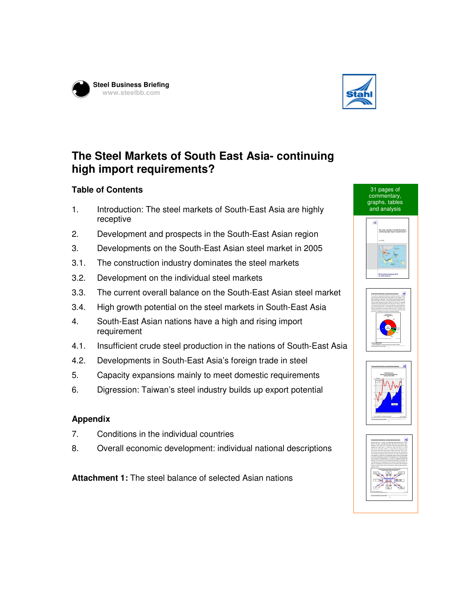



## **The Steel Markets of South East Asia- continuing high import requirements?**

## **Table of Contents**

- 1. Introduction: The steel markets of South-East Asia are highly receptive
- 2. Development and prospects in the South-East Asian region
- 3. Developments on the South-East Asian steel market in 2005
- 3.1. The construction industry dominates the steel markets
- 3.2. Development on the individual steel markets
- 3.3. The current overall balance on the South-East Asian steel market
- 3.4. High growth potential on the steel markets in South-East Asia
- 4. South-East Asian nations have a high and rising import requirement
- 4.1. Insufficient crude steel production in the nations of South-East Asia
- 4.2. Developments in South-East Asia's foreign trade in steel
- 5. Capacity expansions mainly to meet domestic requirements
- 6. Digression: Taiwan's steel industry builds up export potential

## **Appendix**

- 7. Conditions in the individual countries
- 8. Overall economic development: individual national descriptions

**Attachment 1:** The steel balance of selected Asian nations